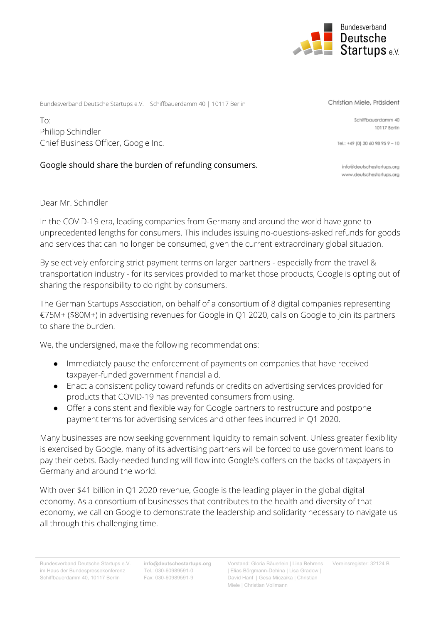

Bundesverband Deutsche Startups e.V. | Schiffbauerdamm 40 | 10117 Berlin

To: Philipp Schindler Chief Business Officer, Google Inc.

## Google should share the burden of refunding consumers.

Dear Mr. Schindler

In the COVID-19 era, leading companies from Germany and around the world have gone to unprecedented lengths for consumers. This includes issuing no-questions-asked refunds for goods and services that can no longer be consumed, given the current extraordinary global situation.

By selectively enforcing strict payment terms on larger partners - especially from the travel & transportation industry - for its services provided to market those products, Google is opting out of sharing the responsibility to do right by consumers.

The German Startups Association, on behalf of a consortium of 8 digital companies representing €75M+ (\$80M+) in advertising revenues for Google in Q1 2020, calls on Google to join its partners to share the burden.

We, the undersigned, make the following recommendations:

- Immediately pause the enforcement of payments on companies that have received taxpayer-funded government financial aid.
- Enact a consistent policy toward refunds or credits on advertising services provided for products that COVID-19 has prevented consumers from using.
- Offer a consistent and flexible way for Google partners to restructure and postpone payment terms for advertising services and other fees incurred in Q1 2020.

Many businesses are now seeking government liquidity to remain solvent. Unless greater flexibility is exercised by Google, many of its advertising partners will be forced to use government loans to pay their debts. Badly-needed funding will flow into Google's coffers on the backs of taxpayers in Germany and around the world.

With over \$41 billion in Q1 2020 revenue, Google is the leading player in the global digital economy. As a consortium of businesses that contributes to the health and diversity of that economy, we call on Google to demonstrate the leadership and solidarity necessary to navigate us all through this challenging time.

Bundesverband Deutsche Startups e.V. im Haus der Bundespressekonferenz Schiffbauerdamm 40, 10117 Berlin

**info@deutschestartups.org** Tel.: 030-60989591-0 Fax: 030-60989591-9

Vorstand: Gloria Bäuerlein | Lina Behrens Vereinsregister: 32124 B| Elias Börgmann-Dehina | Lisa Gradow | David Hanf | Gesa Miczaika | Christian Miele | Christian Vollmann

Christian Miele, Präsident

Schiffbauerdamm 40 10117 Berlin

Tel.: +49 (0) 30 60 98 95 9 - 10

info@deutschestartups.org www.deutschestartups.org